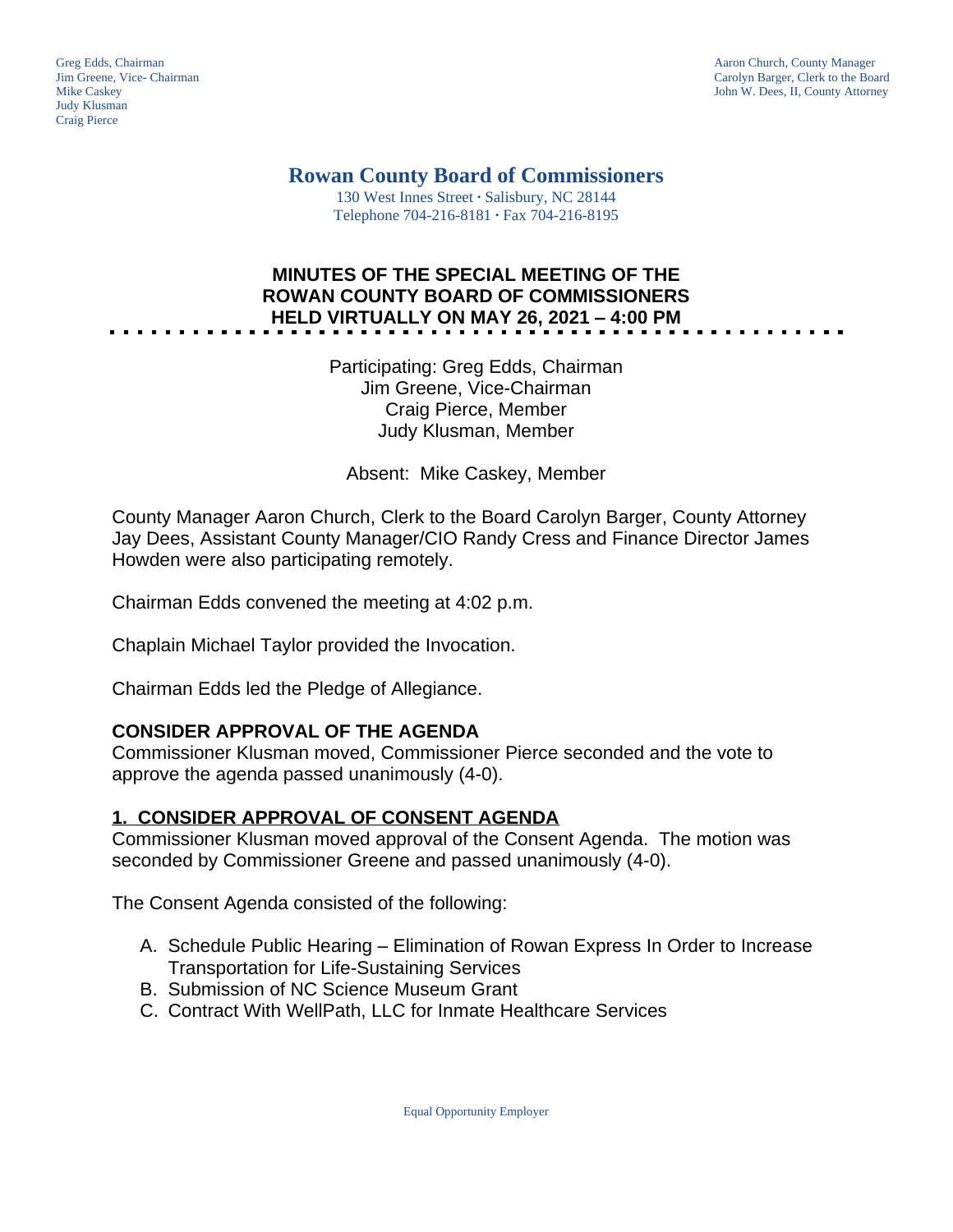Judy Klusman Craig Pierce

Greg Edds, Chairman Aaron Church, County Manager<br>
1989 - Greg Edds, Chairman Aaron Church, County Manager<br>
Carolyn Barger, Clerk to the Boa Jim Greene, Vice- Chairman Carolyn Barger, Clerk to the Board John W. Dees, II, County Attorney

**Rowan County Board of Commissioners**

130 West Innes Street **∙** Salisbury, NC 28144 Telephone 704-216-8181 **∙** Fax 704-216-8195

# **MINUTES OF THE SPECIAL MEETING OF THE ROWAN COUNTY BOARD OF COMMISSIONERS HELD VIRTUALLY ON MAY 26, 2021 – 4:00 PM**

Participating: Greg Edds, Chairman Jim Greene, Vice-Chairman Craig Pierce, Member Judy Klusman, Member

Absent: Mike Caskey, Member

County Manager Aaron Church, Clerk to the Board Carolyn Barger, County Attorney Jay Dees, Assistant County Manager/CIO Randy Cress and Finance Director James Howden were also participating remotely.

Chairman Edds convened the meeting at 4:02 p.m.

Chaplain Michael Taylor provided the Invocation.

Chairman Edds led the Pledge of Allegiance.

### **CONSIDER APPROVAL OF THE AGENDA**

Commissioner Klusman moved, Commissioner Pierce seconded and the vote to approve the agenda passed unanimously (4-0).

### **1. CONSIDER APPROVAL OF CONSENT AGENDA**

Commissioner Klusman moved approval of the Consent Agenda. The motion was seconded by Commissioner Greene and passed unanimously (4-0).

The Consent Agenda consisted of the following:

- A. Schedule Public Hearing Elimination of Rowan Express In Order to Increase Transportation for Life-Sustaining Services
- B. Submission of NC Science Museum Grant
- C. Contract With WellPath, LLC for Inmate Healthcare Services